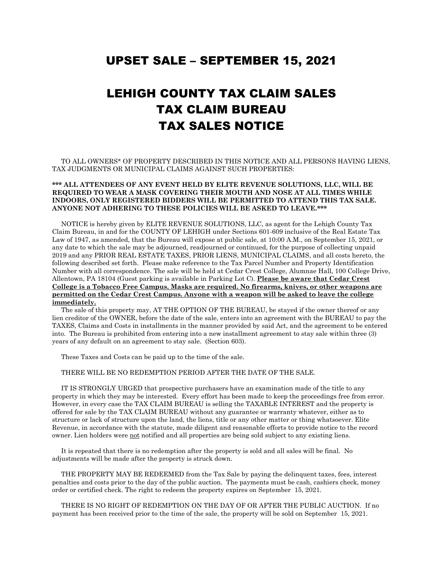## UPSET SALE – SEPTEMBER 15, 2021

## LEHIGH COUNTY TAX CLAIM SALES TAX CLAIM BUREAU TAX SALES NOTICE

 TO ALL OWNERS\* OF PROPERTY DESCRIBED IN THIS NOTICE AND ALL PERSONS HAVING LIENS, TAX JUDGMENTS OR MUNICIPAL CLAIMS AGAINST SUCH PROPERTIES:

## **\*\*\* ALL ATTENDEES OF ANY EVENT HELD BY ELITE REVENUE SOLUTIONS, LLC, WILL BE REQUIRED TO WEAR A MASK COVERING THEIR MOUTH AND NOSE AT ALL TIMES WHILE INDOORS, ONLY REGISTERED BIDDERS WILL BE PERMITTED TO ATTEND THIS TAX SALE. ANYONE NOT ADHERING TO THESE POLICIES WILL BE ASKED TO LEAVE.\*\*\***

 NOTICE is hereby given by ELITE REVENUE SOLUTIONS, LLC, as agent for the Lehigh County Tax Claim Bureau, in and for the COUNTY OF LEHIGH under Sections 601-609 inclusive of the Real Estate Tax Law of 1947, as amended, that the Bureau will expose at public sale, at 10:00 A.M., on September 15, 2021, or any date to which the sale may be adjourned, readjourned or continued, for the purpose of collecting unpaid 2019 and any PRIOR REAL ESTATE TAXES, PRIOR LIENS, MUNICIPAL CLAIMS, and all costs hereto, the following described set forth. Please make reference to the Tax Parcel Number and Property Identification Number with all correspondence. The sale will be held at Cedar Crest College, Alumnae Hall, 100 College Drive, Allentown, PA 18104 (Guest parking is available in Parking Lot C). **Please be aware that Cedar Crest College is a Tobacco Free Campus. Masks are required. No firearms, knives, or other weapons are permitted on the Cedar Crest Campus. Anyone with a weapon will be asked to leave the college immediately.**

 The sale of this property may, AT THE OPTION OF THE BUREAU, be stayed if the owner thereof or any lien creditor of the OWNER, before the date of the sale, enters into an agreement with the BUREAU to pay the TAXES, Claims and Costs in installments in the manner provided by said Act, and the agreement to be entered into. The Bureau is prohibited from entering into a new installment agreement to stay sale within three (3) years of any default on an agreement to stay sale. (Section 603).

These Taxes and Costs can be paid up to the time of the sale.

THERE WILL BE NO REDEMPTION PERIOD AFTER THE DATE OF THE SALE.

 IT IS STRONGLY URGED that prospective purchasers have an examination made of the title to any property in which they may be interested. Every effort has been made to keep the proceedings free from error. However, in every case the TAX CLAIM BUREAU is selling the TAXABLE INTEREST and the property is offered for sale by the TAX CLAIM BUREAU without any guarantee or warranty whatever, either as to structure or lack of structure upon the land, the liens, title or any other matter or thing whatsoever. Elite Revenue, in accordance with the statute, made diligent and reasonable efforts to provide notice to the record owner. Lien holders were not notified and all properties are being sold subject to any existing liens.

 It is repeated that there is no redemption after the property is sold and all sales will be final. No adjustments will be made after the property is struck down.

 THE PROPERTY MAY BE REDEEMED from the Tax Sale by paying the delinquent taxes, fees, interest penalties and costs prior to the day of the public auction. The payments must be cash, cashiers check, money order or certified check. The right to redeem the property expires on September 15, 2021.

 THERE IS NO RIGHT OF REDEMPTION ON THE DAY OF OR AFTER THE PUBLIC AUCTION. If no payment has been received prior to the time of the sale, the property will be sold on September 15, 2021.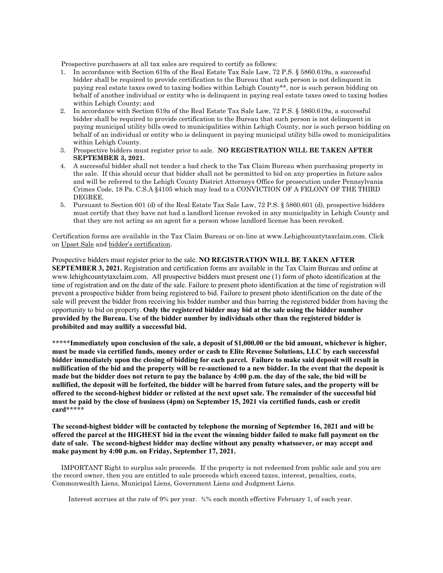Prospective purchasers at all tax sales are required to certify as follows:

- 1. In accordance with Section 619a of the Real Estate Tax Sale Law, 72 P.S. § 5860.619a, a successful bidder shall be required to provide certification to the Bureau that such person is not delinquent in paying real estate taxes owed to taxing bodies within Lehigh County\*\*, nor is such person bidding on behalf of another individual or entity who is delinquent in paying real estate taxes owed to taxing bodies within Lehigh County; and
- 2. In accordance with Section 619a of the Real Estate Tax Sale Law, 72 P.S. § 5860.619a, a successful bidder shall be required to provide certification to the Bureau that such person is not delinquent in paying municipal utility bills owed to municipalities within Lehigh County, nor is such person bidding on behalf of an individual or entity who is delinquent in paying municipal utility bills owed to municipalities within Lehigh County.
- 3. Prospective bidders must register prior to sale. **NO REGISTRATION WILL BE TAKEN AFTER SEPTEMBER 3, 2021.**
- 4. A successful bidder shall not tender a bad check to the Tax Claim Bureau when purchasing property in the sale. If this should occur that bidder shall not be permitted to bid on any properties in future sales and will be referred to the Lehigh County District Attorneys Office for prosecution under Pennsylvania Crimes Code, 18 Pa. C.S.A §4105 which may lead to a CONVICTION OF A FELONY OF THE THIRD DEGREE.
- 5. Pursuant to Section 601 (d) of the Real Estate Tax Sale Law, 72 P.S. § 5860.601 (d), prospective bidders must certify that they have not had a landlord license revoked in any municipality in Lehigh County and that they are not acting as an agent for a person whose landlord license has been revoked.

Certification forms are available in the Tax Claim Bureau or on-line at www.Lehighcountytaxclaim.com. Click on Upset Sale and bidder's certification.

Prospective bidders must register prior to the sale. **NO REGISTRATION WILL BE TAKEN AFTER SEPTEMBER 3, 2021.** Registration and certification forms are available in the Tax Claim Bureau and online at www.lehighcountytaxclaim.com. All prospective bidders must present one (1) form of photo identification at the time of registration and on the date of the sale. Failure to present photo identification at the time of registration will prevent a prospective bidder from being registered to bid. Failure to present photo identification on the date of the sale will prevent the bidder from receiving his bidder number and thus barring the registered bidder from having the opportunity to bid on property. **Only the registered bidder may bid at the sale using the bidder number provided by the Bureau. Use of the bidder number by individuals other than the registered bidder is prohibited and may nullify a successful bid.**

**\*\*\*\*\*Immediately upon conclusion of the sale, a deposit of \$1,000.00 or the bid amount, whichever is higher, must be made via certified funds, money order or cash to Elite Revenue Solutions, LLC by each successful bidder immediately upon the closing of bidding for each parcel. Failure to make said deposit will result in nullification of the bid and the property will be re-auctioned to a new bidder. In the event that the deposit is made but the bidder does not return to pay the balance by 4:00 p.m. the day of the sale, the bid will be nullified, the deposit will be forfeited, the bidder will be barred from future sales, and the property will be offered to the second-highest bidder or relisted at the next upset sale. The remainder of the successful bid must be paid by the close of business (4pm) on September 15, 2021 via certified funds, cash or credit card\*\*\*\*\***

**The second-highest bidder will be contacted by telephone the morning of September 16, 2021 and will be offered the parcel at the HIGHEST bid in the event the winning bidder failed to make full payment on the date of sale. The second-highest bidder may decline without any penalty whatsoever, or may accept and make payment by 4:00 p.m. on Friday, September 17, 2021.**

 IMPORTANT Right to surplus sale proceeds. If the property is not redeemed from public sale and you are the record owner, then you are entitled to sale proceeds which exceed taxes, interest, penalties, costs, Commonwealth Liens, Municipal Liens, Government Liens and Judgment Liens.

Interest accrues at the rate of 9% per year. ¾% each month effective February 1, of each year.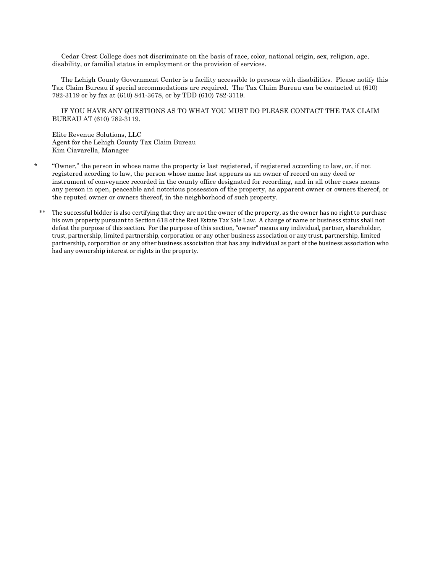Cedar Crest College does not discriminate on the basis of race, color, national origin, sex, religion, age, disability, or familial status in employment or the provision of services.

 The Lehigh County Government Center is a facility accessible to persons with disabilities. Please notify this Tax Claim Bureau if special accommodations are required. The Tax Claim Bureau can be contacted at (610) 782-3119 or by fax at (610) 841-3678, or by TDD (610) 782-3119.

 IF YOU HAVE ANY QUESTIONS AS TO WHAT YOU MUST DO PLEASE CONTACT THE TAX CLAIM BUREAU AT (610) 782-3119.

Elite Revenue Solutions, LLC Agent for the Lehigh County Tax Claim Bureau Kim Ciavarella, Manager

- \* "Owner," the person in whose name the property is last registered, if registered according to law, or, if not registered acording to law, the person whose name last appears as an owner of record on any deed or instrument of conveyance recorded in the county office designated for recording, and in all other cases means any person in open, peaceable and notorious possession of the property, as apparent owner or owners thereof, or the reputed owner or owners thereof, in the neighborhood of such property.
	- The successful bidder is also certifying that they are not the owner of the property, as the owner has no right to purchase his own property pursuant to Section 618 of the Real Estate Tax Sale Law. A change of name or business status shall not defeat the purpose of this section. For the purpose of this section, "owner" means any individual, partner, shareholder, trust, partnership, limited partnership, corporation or any other business association or any trust, partnership, limited partnership, corporation or any other business association that has any individual as part of the business association who had any ownership interest or rights in the property.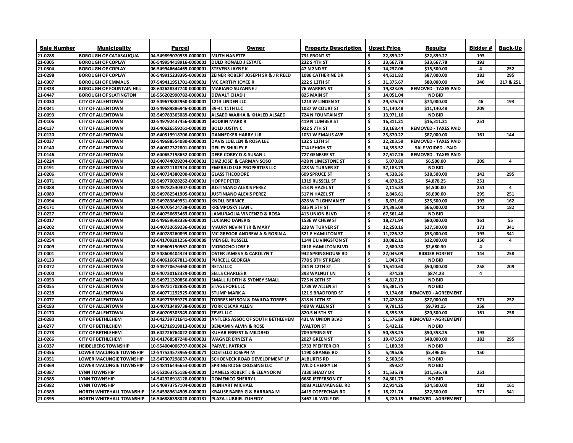| <b>Sale Number</b> | <b>Municipality</b>             | <b>Parcel</b>                                 | <b>Owner</b>                                                     | <b>Property Description</b> | <b>Upset Price</b> |           | <b>Results</b>               | <b>Bidder#</b> | <b>Back-Up</b>          |
|--------------------|---------------------------------|-----------------------------------------------|------------------------------------------------------------------|-----------------------------|--------------------|-----------|------------------------------|----------------|-------------------------|
| 21-0288            | <b>BOROUGH OF CATASAUQUA</b>    | 04-549899070935-0000001                       | <b>MUTH NANETTE</b>                                              | 731 FRONT ST                |                    | 22,899.27 | \$22,899.27                  | 193            |                         |
| 21-0305            | <b>BOROUGH OF COPLAY</b>        | 06-549954418916-0000001                       | <b>DULD RONALD J ESTATE</b>                                      | <b>232 S 4TH ST</b>         |                    | 33,667.78 | \$33,667.78                  | 193            |                         |
| 21-0304            | <b>BOROUGH OF COPLAY</b>        | 06-549946644469-0000001                       | <b>STEVENS JAYNE K</b>                                           | 47 N 2ND ST                 |                    | 14,237.06 | \$15,500.00                  | 4              | 252                     |
| 21-0298            | <b>BOROUGH OF COPLAY</b>        | 06-549915238395-0000001                       | <b>ZEINER ROBERT JOSEPH SR &amp; J R REED</b>                    | <b>1086 CATHERINE DR</b>    |                    | 44,611.82 | \$87,000.00                  | 182            | 295                     |
| 21-0307            | <b>BOROUGH OF EMMAUS</b>        | 07-549411951701-0000001                       | <b>MC CARTHY JOYCE R</b>                                         | 222 S 13TH ST               |                    | 31,375.67 | \$80,000.00                  | 340            | 217 & 251               |
| 21-0328            | <b>BOROUGH OF FOUNTAIN HILL</b> | 08-642628347740-0000001                       | <b>MARIANO SUZANNE J</b>                                         | <b>76 WARREN ST</b>         |                    | 19,823.05 | <b>REMOVED - TAXES PAID</b>  |                |                         |
| 21-0447            | <b>BOROUGH OF SLATINGTON</b>    | 18-556202990782-0000001                       | <b>DEWALT CHAD J</b>                                             | <b>825 MAIN ST</b>          |                    | 14,051.04 | <b>NO BID</b>                |                |                         |
| 21-0030            | <b>CITY OF ALLENTOWN</b>        | 02-549679882960-0000001                       | <b>1213 LINDEN LLC</b>                                           | 1213 W LINDEN ST            |                    | 29,576.74 | \$74,000.00                  | 46             | 193                     |
| 21-0041            | <b>CITY OF ALLENTOWN</b>        | 02-549689886946-0000001                       | 39-41 11TH LLC                                                   | 1037 W COURT ST             |                    | 11,140.48 | \$11,140.48                  | 209            |                         |
| 21-0093            | <b>CITY OF ALLENTOWN</b>        | 02-549783365089-0000001                       | <b>ALSAED WAJIHA &amp; KHALED ALSAED</b>                         | <b>724 N FOUNTAIN ST</b>    |                    | 13,971.16 | <b>NO BID</b>                |                |                         |
| 21-0106            | <b>CITY OF ALLENTOWN</b>        | 02-549792437456-0000001                       | <b>BODKIN MARK R</b>                                             | 419 N LUMBER ST             | S                  | 16,311.21 | \$16,311.21                  | 251            |                         |
| 21-0137            | <b>CITY OF ALLENTOWN</b>        | 02-640626559261-0000001                       | <b>BOLD JUSTIN C</b>                                             | 922 S 7TH ST                |                    | 13,168.44 | <b>REMOVED - TAXES PAID</b>  |                |                         |
| 21-0120            | <b>CITY OF ALLENTOWN</b>        | 02-640519918706-0000001                       | <b>DANNECKER HARRY J JR</b>                                      | 1031 W EMAUS AVE            |                    | 23,870.22 | \$87,000.00                  | 161            | 144                     |
| 21-0037            | <b>CITY OF ALLENTOWN</b>        | 02-549688554080-0000001                       | <b>DAVIS LUELLEN &amp; ROSA LEE</b>                              | 132 S 12TH ST               |                    | 22,203.59 | <b>REMOVED - TAXES PAID</b>  |                |                         |
| 21-0140            | <b>CITY OF ALLENTOWN</b>        | 02-640627322801-0000001                       | <b>DEILEY SHIRLEY E</b>                                          | 714 LEHIGH ST               |                    | 14,398.52 | <b>SALE VOIDED - PAID</b>    |                |                         |
| 21-0146            | <b>CITY OF ALLENTOWN</b>        | 02-640657158652-0000001                       | <b>DERR COREY D &amp; SUSAN L</b>                                | 727 GENESEE ST              |                    | 27,617.26 | <b>REMOVED - TAXES PAID</b>  |                |                         |
| 21-0224            | <b>CITY OF ALLENTOWN</b>        | 02-640744029204-0000001                       | <b>DIAZ JOSE' &amp; CARMAN SOSO</b>                              | 428 N LIMESTONE ST          | \$                 | 5,070.80  | \$6,500.00                   | 209            | -4                      |
| 21-0191            | <b>CITY OF ALLENTOWN</b>        | 02-640721182924-0000001                       | <b>EMERALD ISLE PROPERTIES LLC</b>                               | 428 W TURNER ST             | \$                 | 37,183.79 | <b>NO BID</b>                |                |                         |
| 21-0206            | <b>CITY OF ALLENTOWN</b>        | 02-640734380200-0000001                       | <b>GLASS THEODORE</b>                                            | 609 SPRUCE ST               |                    | 4,538.36  | \$38,500.00                  | 142            | 295                     |
| 21-0071            | <b>CITY OF ALLENTOWN</b>        | 02-549770028262-0000001                       | <b>HOPPE PETER</b>                                               | 1319 RUSSELL ST             |                    | 4,878.25  | \$4,878.25                   | 251            |                         |
| 21-0088            | <b>CITY OF ALLENTOWN</b>        | 02-549782540407-0000001                       | <b>JUSTINIANO ALEXIS PEREZ</b>                                   | 513 N HAZEL ST              | \$                 | 2,115.39  | \$4,500.00                   | 251            | $\overline{\mathbf{4}}$ |
| 21-0089            | <b>CITY OF ALLENTOWN</b>        | 02-549782541905-0000001                       | <b>JUSTINIANO ALEXIS PEREZ</b>                                   | 517 N HAZEL ST              |                    | 2,846.61  | \$8,000.00                   | 295            | 251                     |
| 21-0094            | <b>CITY OF ALLENTOWN</b>        | 02-549783849951-0000001                       | <b>KNOLL BERNICE</b>                                             | <b>828 W TILGHMAN ST</b>    | \$                 | 6,871.60  | \$25,500.00                  | 193            | 162                     |
| 21-0171            | <b>CITY OF ALLENTOWN</b>        | 02-640705424738-0000001                       | <b>KREMPOSKY JEAN L</b>                                          | <b>835 N 5TH ST</b>         |                    | 24,395.09 | \$66,000.00                  | 142            | 182                     |
| 21-0227            | <b>CITY OF ALLENTOWN</b>        | 02-640756693463-0000001                       | <b>LAMURAGLIA VINCENZO &amp; ROSA</b>                            | <b>413 UNION BLVD</b>       |                    | 67,561.46 | <b>NO BID</b>                |                |                         |
| 21-0017            | <b>CITY OF ALLENTOWN</b>        | 02-549659692336-0000001                       | <b>LUCIANO DANERIS</b>                                           | 1536 W CHEW ST              |                    | 18,271.94 | \$80,000.00                  | 161            | 55                      |
| 21-0202            | <b>CITY OF ALLENTOWN</b>        | 02-640732659236-0000001                       | <b>MAURY NEVIN T JR &amp; MARY</b>                               | <b>228 W TURNER ST</b>      |                    | 12,250.16 | \$27,500.00                  | 371            | 341                     |
| 21-0243            | <b>CITY OF ALLENTOWN</b>        | 02-640783260899-0000001                       | <b>MC GREGOR ANDREW A &amp; ROBIN A</b>                          | <b>521 E HAMILTON ST</b>    |                    | 11,226.32 | \$33,000.00                  | 193            | 341                     |
| 21-0254            | <b>CITY OF ALLENTOWN</b>        | 02-641709201256-0000009                       | <b>MENGEL RUSSELL</b>                                            | 1144 E LIVINGSTON ST        |                    | 10,082.16 | \$12,000.00                  | 150            |                         |
| 21-0009            | <b>CITY OF ALLENTOWN</b>        | 02-549605190567-0000001                       | <b>MOROCHO JOSE E</b>                                            | <b>2618 HAMILTON BLVD</b>   |                    | 2,680.30  | \$2,680.30                   | 4              |                         |
| 21-0001            | <b>CITY OF ALLENTOWN</b>        | 02-548608404324-0000001                       | <b>OSTER JAMES S &amp; CAROLYN T</b>                             | 942 SPRINGHOUSE RD          |                    | 22,045.09 | <b>BIDDER FORFEIT</b>        | 144            | 258                     |
| 21-0133            | <b>CITY OF ALLENTOWN</b>        | 02-640616667811-0000001                       | <b>PURCELL GEORGIA</b>                                           | 778 S 8TH ST REAR           |                    | 1,043.74  | <b>NO BID</b>                |                |                         |
| 21-0072            | <b>CITY OF ALLENTOWN</b>        | 02-549770676468-0000001                       | <b>RETAJ LLC</b>                                                 | <b>244 N 12TH ST</b>        |                    | 15,610.60 | \$50,000.00                  | 258            | 209                     |
| 21-0200            | <b>CITY OF ALLENTOWN</b>        | 02-640730162329-0000001                       | <b>SELLS CHARLES K</b>                                           | 393 WALNUT LN               |                    | 874.28    | \$874.28                     | 4              |                         |
| 21-0053            | <b>CITY OF ALLENTOWN</b>        | 02-549721320856-0000001                       | <b>SMALL JUDITH &amp; SYDNEY SMALL</b>                           | 725 N 20TH ST               |                    | 4,817.13  | <b>NO BID</b>                |                |                         |
| 21-0055            | <b>CITY OF ALLENTOWN</b>        | 02-549731702885-0000001                       | <b>STAGE FORE LLC</b>                                            | 1739 W ALLEN ST             |                    | 95,381.75 | <b>NO BID</b>                |                |                         |
| 21-0228            | <b>CITY OF ALLENTOWN</b>        | 02-640771292925-0000001                       | <b>STUMP MARK A</b>                                              | <b>121 S BRADFORD ST</b>    |                    | 9,174.68  | <b>REMOVED - AGREEMENT</b>   |                |                         |
| 21-0077            | <b>CITY OF ALLENTOWN</b>        | 02-549773599779-0000001                       | <b>TORRES NELSON &amp; DWILDA TORRES</b>                         | 818 N 10TH ST               |                    | 17,420.80 | \$27,000.00                  | 371            | 252                     |
| 21-0183            | <b>CITY OF ALLENTOWN</b>        | 02-640713499738-0000001                       | <b>YORK OSCAR ALLEN</b>                                          | 408 W ALLEN ST              |                    | 9,791.15  | \$9,791.15                   | 258            |                         |
| 21-0170            | <b>CITY OF ALLENTOWN</b>        | 02-640705305345-0000001                       | <b>ZEVEL LLC</b>                                                 | 820.5 N 5TH ST              |                    | 8,355.35  | \$20,500.00                  | 161            | 258                     |
| 21-0280            | <b>CITY OF BETHLEHEM</b>        | 03-642739721641-0000001                       | <b>ANTLERS ASSOC OF SOUTH BETHLEHEM</b>                          | <b>431 W UNION BLVD</b>     |                    | 51,576.88 | <b>REMOVED - AGREEMENT</b>   |                |                         |
| 21-0277            | <b>CITY OF BETHLEHEM</b>        | 03-642716919013-0000001                       | <b>BENJAMIN ALVIN &amp; ROSE</b>                                 | <b>WALTON ST</b>            |                    | 5,432.16  | <b>NO BID</b>                |                |                         |
| 21-0278            | <b>CITY OF BETHLEHEM</b>        | 03-642726764022-0000001                       | <b>KUHAR ERNEST &amp; MILDRED</b>                                | 709 SPRING ST               |                    | 50,358.25 | \$50,358.25                  | 193            |                         |
| 21-0266            | <b>CITY OF BETHLEHEM</b>        | 03-641768587240-0000001                       | <b>WAGNER ERNEST A</b>                                           | <b>2027 GREEN ST</b>        |                    | 19,475.93 | \$48,000.00                  | 182            | 295                     |
| 21-0337            | <b>HEIDELBERG TOWNSHIP</b>      | 10-554004006797-0000024                       | <b>PARVEL PATRICK</b>                                            | 5733 PFEIFFER CIR           |                    | 1,180.39  | <b>NO BID</b>                |                |                         |
| 21-0356            | <b>LOWER MACUNGIE TOWNSHIP</b>  | 12-547534573965-0000071                       | <b>COSTELLO JOSEPH M</b>                                         | <b>1190 GRANGE RD</b>       |                    | 5,496.06  | \$5,496.06                   | 150            |                         |
| 21-0351            | <b>LOWER MACUNGIE TOWNSHIP</b>  | 12-547307298637-0000001                       | <b>SCHOENECK ROAD DEVELOPMENT LP</b>                             | <b>ALBURTIS RD</b>          |                    | 2,500.56  | <b>NO BID</b>                |                |                         |
| 21-0369            | <b>LOWER MACUNGIE TOWNSHIP</b>  | 12-548416446653-0000001                       | <b>SPRING RIDGE CROSSING LLC</b>                                 | <b>WILD CHERRY LN</b>       |                    | 859.87    | <b>NO BID</b>                |                |                         |
| 21-0387            | <b>LYNN TOWNSHIP</b>            | 14-552063755186-0000001                       | DANIELS ROBERT L & ELEANOR M                                     | 7330 SHADY DR               |                    | 11,536.78 |                              | 251            |                         |
| 21-0385            | <b>LYNN TOWNSHIP</b>            | 14-542926918128-0000001                       | <b>DOMENICO SHERRY L</b>                                         | <b>6680 JEFFERSON CT</b>    |                    | 24,801.73 | \$11,536.78<br><b>NO BID</b> |                |                         |
| 21-0382            | <b>LYNN TOWNSHIP</b>            | 14-540973757104-0000001                       |                                                                  | 8083 ALLEMAENGEL RD         |                    | 22,914.26 | \$24,500.00                  | 182            | 161                     |
| 21-0389            | <b>NORTH WHITEHALL TOWNSHIP</b> | 16-545989614909-0000001                       | <b>REINHART MICHAEL</b><br><b>KRAUSE BARRY G &amp; BARBARA M</b> | <b>4419 COPEECHAN RD</b>    | \$                 | 18,221.74 | \$22,500.00                  | 371            | 341                     |
| 21-0395            | <b>NORTH WHITEHALL TOWNSHIP</b> | 16-546886398028-0000181 PLAZA-LUBRIEL ZUHEIDY |                                                                  | 3467 LIL WOLF DR            |                    | 5,220.15  | <b>REMOVED - AGREEMENT</b>   |                |                         |
|                    |                                 |                                               |                                                                  |                             |                    |           |                              |                |                         |